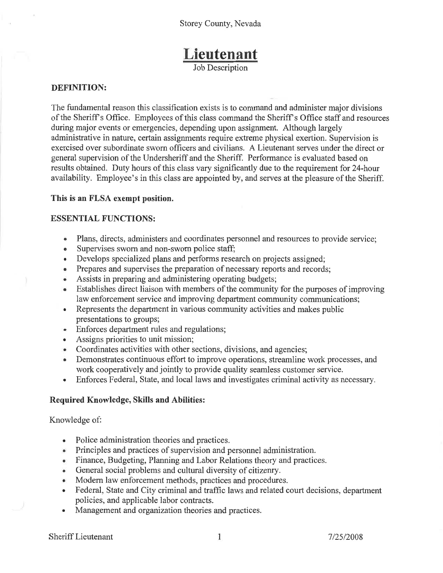# Lieutenant

**Job Description** 

#### **DEFINITION:**

The fundamental reason this classification exists is to command and administer major divisions of the Sheriff's Office. Employees of this class command the Sheriff's Office staff and resources during major events or emergencies, depending upon assignment. Although largely administrative in nature, certain assignments require extreme physical exertion. Supervision is exercised over subordinate sworn officers and civilians. A Lieutenant serves under the direct or general supervision of the Undersheriff and the Sheriff. Performance is evaluated based on results obtained. Duty hours of this class vary significantly due to the requirement for 24-hour availability. Employee's in this class are appointed by, and serves at the pleasure of the Sheriff.

#### This is an FLSA exempt position.

#### **ESSENTIAL FUNCTIONS:**

- Plans, directs, administers and coordinates personnel and resources to provide service;
- Supervises sworn and non-sworn police staff;  $\bullet$
- Develops specialized plans and performs research on projects assigned;  $\bullet$
- Prepares and supervises the preparation of necessary reports and records;  $\bullet$
- Assists in preparing and administering operating budgets;
- Establishes direct liaison with members of the community for the purposes of improving  $\bullet$ law enforcement service and improving department community communications;
- Represents the department in various community activities and makes public presentations to groups;
- Enforces department rules and regulations; **o**
- Assigns priorities to unit mission;  $\bullet$
- Coordinates activities with other sections, divisions, and agencies;
- Demonstrates continuous effort to improve operations, streamline work processes, and work cooperatively and jointly to provide quality seamless customer service.
- Enforces Federal, State, and local laws and investigates criminal activity as necessary.  $\bullet$

#### Required Knowledge, Skills and Abilities:

#### Knowledge of:

- Police administration theories and practices.  $\bullet$
- Principles and practices of supervision and personnel administration.
- Finance, Budgeting, Planning and Labor Relations theory and practices.
- General social problems and cultural diversity of citizenry.  $\bullet$
- Modern law enforcement methods, practices and procedures.
- Federal, State and City criminal and traffic laws and related court decisions, department policies, and applicable labor contracts.
- Management and organization theories and practices.  $\bullet$